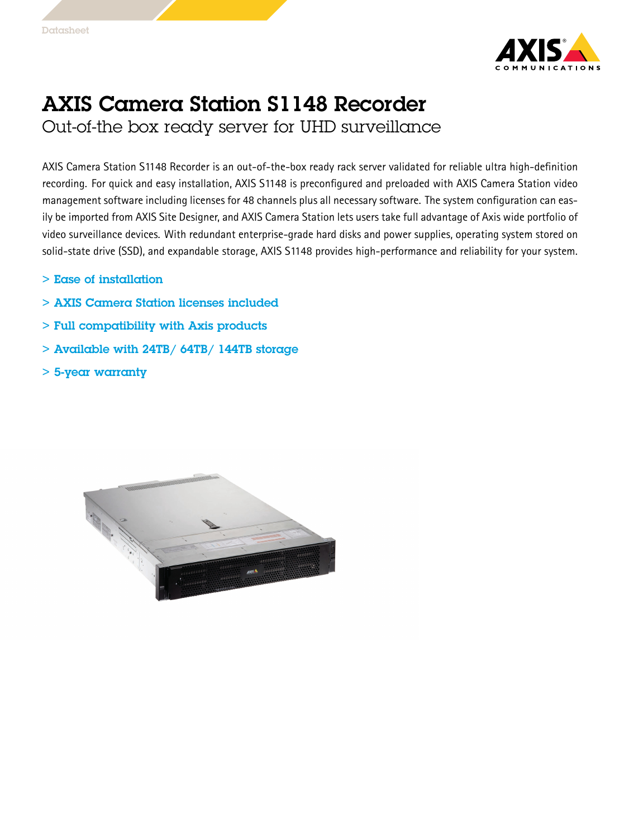

## AXIS Camera Station S1148 Recorder Out-of-the box ready server for UHD surveillance

AXIS Camera Station S1148 Recorder is an out-of-the-box ready rack server validated for reliable ultra high-definition recording. For quick and easy installation, AXIS S1148 is preconfigured and preloaded with AXIS Camera Station video management software including licenses for 48 channels plus all necessary software. The system configuration can easily be imported from AXIS Site Designer, and AXIS Camera Station lets users take full advantage of Axis wide portfolio of video surveillance devices. With redundant enterprise-grade hard disks and power supplies, operating system stored on solid-state drive (SSD), and expandable storage, AXIS S1148 provides high-performance and reliability for your system.

- > Ease of installation
- > AXIS Camera Station licenses included
- > Full compatibility with Axis products
- $>$  Available with 24TB/ 64TB/ 144TB storage
- > 5-year warranty